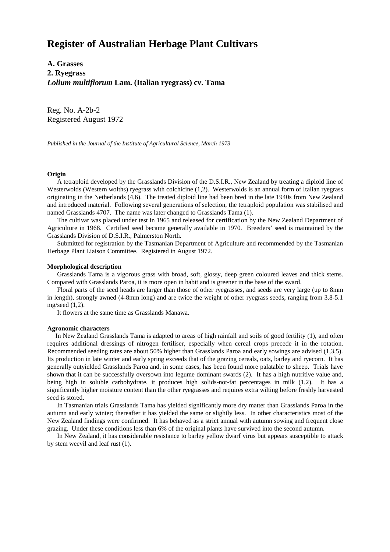# **Register of Australian Herbage Plant Cultivars**

**A. Grasses 2. Ryegrass** *Lolium multiflorum* **Lam. (Italian ryegrass) cv. Tama**

Reg. No. A-2b-2 Registered August 1972

*Published in the Journal of the Institute of Agricultural Science, March 1973*

#### **Origin**

 A tetraploid developed by the Grasslands Division of the D.S.I.R., New Zealand by treating a diploid line of Westerwolds (Western wolths) ryegrass with colchicine (1,2). Westerwolds is an annual form of Italian ryegrass originating in the Netherlands (4,6). The treated diploid line had been bred in the late 1940s from New Zealand and introduced material. Following several generations of selection, the tetraploid population was stabilised and named Grasslands 4707. The name was later changed to Grasslands Tama (1).

 The cultivar was placed under test in 1965 and released for certification by the New Zealand Department of Agriculture in 1968. Certified seed became generally available in 1970. Breeders' seed is maintained by the Grasslands Division of D.S.I.R., Palmerston North.

 Submitted for registration by the Tasmanian Department of Agriculture and recommended by the Tasmanian Herbage Plant Liaison Committee. Registered in August 1972.

#### **Morphological description**

 Grasslands Tama is a vigorous grass with broad, soft, glossy, deep green coloured leaves and thick stems. Compared with Grasslands Paroa, it is more open in habit and is greener in the base of the sward.

 Floral parts of the seed heads are larger than those of other ryegrasses, and seeds are very large (up to 8mm in length), strongly awned (4-8mm long) and are twice the weight of other ryegrass seeds, ranging from 3.8-5.1 mg/seed (1,2).

It flowers at the same time as Grasslands Manawa.

### **Agronomic characters**

 In New Zealand Grasslands Tama is adapted to areas of high rainfall and soils of good fertility (1), and often requires additional dressings of nitrogen fertiliser, especially when cereal crops precede it in the rotation. Recommended seeding rates are about 50% higher than Grasslands Paroa and early sowings are advised (1,3,5). Its production in late winter and early spring exceeds that of the grazing cereals, oats, barley and ryecorn. It has generally outyielded Grasslands Paroa and, in some cases, has been found more palatable to sheep. Trials have shown that it can be successfully oversown into legume dominant swards (2). It has a high nutritive value and, being high in soluble carbohydrate, it produces high solids-not-fat percentages in milk (1,2). It has a significantly higher moisture content than the other ryegrasses and requires extra wilting before freshly harvested seed is stored.

 In Tasmanian trials Grasslands Tama has yielded significantly more dry matter than Grasslands Paroa in the autumn and early winter; thereafter it has yielded the same or slightly less. In other characteristics most of the New Zealand findings were confirmed. It has behaved as a strict annual with autumn sowing and frequent close grazing. Under these conditions less than 6% of the original plants have survived into the second autumn.

 In New Zealand, it has considerable resistance to barley yellow dwarf virus but appears susceptible to attack by stem weevil and leaf rust (1).